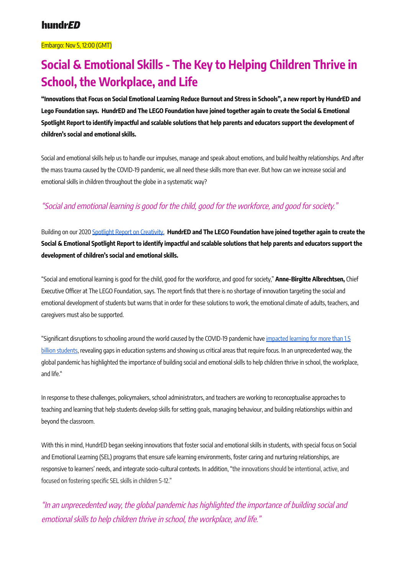#### Embargo: Nov 5, 12:00 (GMT)

# **Social & Emotional Skills - The Key to Helping Children Thrive in School, the Workplace, and Life**

"Innovations that Focus on Social Emotional Learning Reduce Burnout and Stress in Schools", a new report by HundrED and Lego Foundation says. HundrED and The LEGO Foundation have joined together again to create the Social & Emotional Spotlight Report to identify impactful and scalable solutions that help parents and educators support the development of **children's social and emotional skills.**

Social and emotional skills help us to handle our impulses, manage and speak about emotions, and build healthy relationships. And after the mass trauma caused by the COVID-19 pandemic, we all need these skills more than ever. But how can we increase social and emotional skills in children throughout the globe in a systematic way?

### "Social and emotional learning is good for the child, good for the workforce, and good for society."

Building on our 2020 Spotlight Report on [Creativity,](https://hundred.org/en/articles/spotlight-report-on-creativity-in-education-dedicated-to-sir-ken-robinson-at-the-hundred-summit#7bc63fc6) **HundrED and The LEGO Foundation have joined together again to create the** Social & Emotional Spotlight Report to identify impactful and scalable solutions that help parents and educators support the **development of children's social and emotional skills.**

"Social and emotional learning is good for the child, good for the workforce, and good for society," **Anne-Birgitte Albrechtsen,** Chief Executive Officer at The LEGO Foundation, says. The report finds that there is no shortage of innovation targeting the social and emotional development of students but warns that in order for these solutions to work, the emotional climate of adults, teachers, and caregivers must also be supported.

"Significant disruptions to schooling around the world caused by the COVID-19 pandemic have [impacted](https://www.oecd-ilibrary.org/docserver/201dde84-en.pdf?expires=1635839154&id=id&accname=guest&checksum=87C2690F30AC8141541F0C6BEE3DFB29) learning for more than 1.5 billion [students](https://www.oecd-ilibrary.org/docserver/201dde84-en.pdf?expires=1635839154&id=id&accname=guest&checksum=87C2690F30AC8141541F0C6BEE3DFB29), revealing gaps in education systems and showing us critical areas that require focus. In an unprecedented way, the global pandemic has highlighted the importance of building social and emotional skills to help children thrive in school, the workplace, and life."

In response to these challenges, policymakers, school administrators, and teachers are working to reconceptualise approaches to teaching and learning that help students develop skills for setting goals, managing behaviour, and building relationships within and beyond the classroom.

With this in mind, HundrED began seeking innovations that foster social and emotional skills in students, with special focus on Social and Emotional Learning (SEL) programs that ensure safe learning environments, foster caring and nurturing relationships, are responsive to learners' needs, and integrate socio-cultural contexts. In addition, "the innovations should be intentional, active, and focused on fostering specific SEL skills in children 5-12."

"In an unprecedented way, the global pandemic has highlighted the importance of building social and emotional skills to help children thrive in school, the workplace, and life."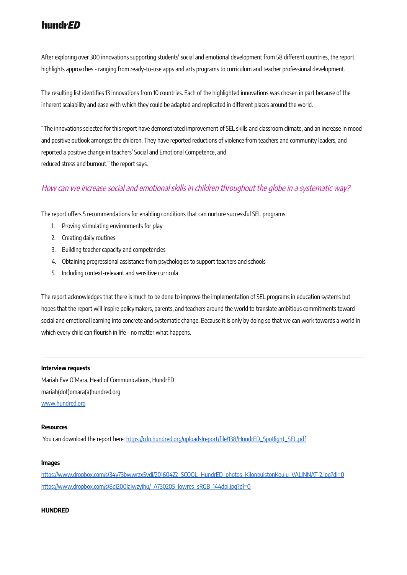# hundr*ED*

After exploring over 300 innovations supporting students' social and emotional development from 58 different countries, the report highlights approaches - ranging from ready-to-use apps and arts programs to curriculum and teacher professional development.

The resulting list identifies 13 innovations from 10 countries. Each of the highlighted innovations was chosen in part because of the inherent scalability and ease with which they could be adapted and replicated in different places around the world.

"The innovations selected for this report have demonstrated improvement of SEL skills and classroom climate, and an increase in mood and positive outlook amongst the children. They have reported reductions of violence from teachers and community leaders, and reported a positive change in teachers' Social and Emotional Competence, and reduced stress and burnout," the report says.

### How can we increase social and emotional skills in children throughout the globe in <sup>a</sup> systematic way?

The report offers 5 recommendations for enabling conditions that can nurture successful SEL programs:

- 1. Proving stimulating environments for play
- 2. Creating daily routines
- 3. Building teacher capacity and competencies
- 4. Obtaining progressional assistance from psychologies to support teachers and schools
- 5. Including context-relevant and sensitive curricula

The report acknowledges that there is much to be done to improve the implementation of SEL programs in education systems but hopes that the report will inspire policymakers, parents, and teachers around the world to translate ambitious commitments toward social and emotional learning into concrete and systematic change. Because it is only by doing so that we can work towards a world in which every child can flourish in life - no matter what happens.

#### **Interview requests**

Mariah Eve O'Mara, Head of Communications, HundrED mariah(dot)omara(a)hundred.org [www.hundred.org](http://www.hundred.org)

#### **Resources**

You can download the report here: [https://cdn.hundred.org/uploads/report/file/138/HundrED\\_Spotlight\\_SEL.pdf](https://cdn.hundred.org/uploads/report/file/138/HundrED_Spotlight_SEL.pdf)

#### **Images**

[https://www.dropbox.com/s/34y73bwwrzx5ydi/20160422\\_SCOOL\\_HundrED\\_photos\\_KilonpuistonKoulu\\_VALINNAT-2.jpg?dl=0](https://www.dropbox.com/s/34y73bwwrzx5ydi/20160422_SCOOL_HundrED_photos_KilonpuistonKoulu_VALINNAT-2.jpg?dl=0) [https://www.dropbox.com/s/8di200lajwzyihu/\\_A730205\\_lowres\\_sRGB\\_144dpi.jpg?dl=0](https://www.dropbox.com/s/8di200lajwzyihu/_A730205_lowres_sRGB_144dpi.jpg?dl=0)

#### **HUNDRED**